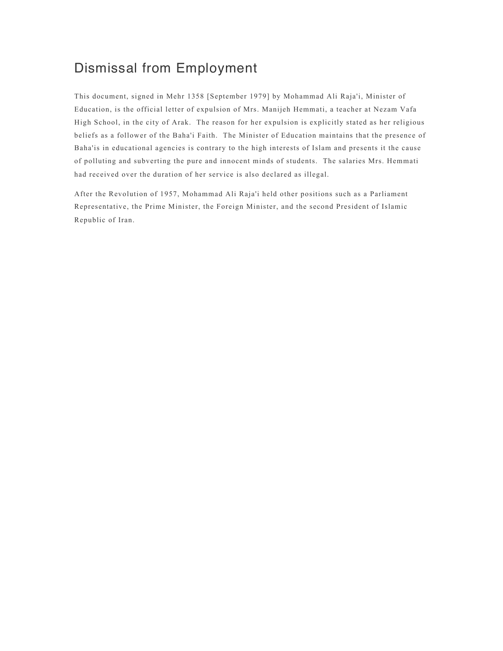# Dismissal from Employment

This document, signed in Mehr 1358 [September 1979] by Mohammad Ali Raja'i, Minister of Education, is the official letter of expulsion of Mrs. Manijeh Hemmati, a teacher at Nezam Vafa High School, in the city of Arak. The reason for her expulsion is explicitly stated as her religious beliefs as a follower of the Baha'i Faith. The Minister of Education maintains that the presence of Baha'is in educational agencies is contrary to the high interests of Islam and presents it the cause of polluting and subverting the pure and innocent minds of students. The salaries Mrs. Hemmati had received over the duration of her service is also declared as illegal.

After the Revolution of 1957, Mohammad Ali Raja'i held other positions such as a Parliament Representative, the Prime Minister, the Foreign Minister, and the second President of Islamic Republic of Iran.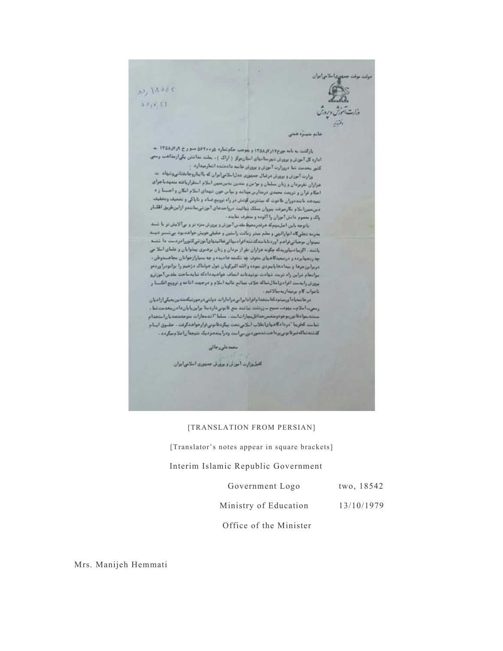

خانم سيبره هنتى

 $+$  ۱۳۵۸٫۷۲ میرج $r_{i}$ ار او ۱۳۵۸٫۷۲ و موجب حکم نماره شود ۱۳۵۰ متورج او ۱۳۵۸٬۷۲ م بازگشت به نامه بورخ۱۳۵۸ و ۱۳۵۸ و جوانب حصوصار - بیلت نداشتن یکی از مقاهب رسان<br>آماره کل آموزش و بروزش شهرستانیهای استان مرکز ( اراک ) ، بعلت نداشتن یکی از مقاهب رسان کنور بخدمت شا دروزارت آموزش و پرورش هاشد دادمشده اشتارمیدارد. ر

ر<br>وزارت آموزش و برورش در قبال جمهوری عدل! ــلامی!بران که با!بتاروجانفشانی وشهاد. ت وزیرت مورثی و مصرف محمد مستورث میشود.<br>هزاران تفریرهان و زنان مسلمان و مواجن و مددین بدین مسین اسلام استقراریافته متجهدیا جرای مزبران موتوبان و زمان مستان و بر این میباشد و بیا بی خون شهدای املام آمکان و آجستا از 4<br>احکام قرآن و شریعت محمدی درمدارس میباشد و بیا بی خون شهدای املام آمکان و آجستا از 4 نمیدهد با ننددوران طافوت که بیشترین گوشش در راه ترویج فساد و ناپاکی و تضعیف وتخفیف دین سبز اسلام بگارموقت پیروان مملک بیاتیت درواحدهای آموزشی بناشدو ازاین طریق اقلابار یاک و سعوم دانش آبوزان را آلوده و متخرف نتایند .

باتوجه باین اصلحهگ هرقدرمخیط بقدس آموزش و پرورش متزد تر و بی آلایش تر با شند بدرمه تجليگاه انوارالهي و بطم بيشر زمالت رامشن و حقيقي دويش هواهديود بي شسر ديسد نجتوان موهباتي فراهم آورد نابا بندگذشته افراد بهائي فاليدياي آموزشي كشور امردست دا شصه باشد. اگریبادیباوریدکه چگونه هزاران نفر از مردان و زنان بردیری بیشوایان و علمای اسلامی چه رنجهایرده و درتیمیدگاههای مخوف چه تکنجه هادیده و چه بسیارازجوانان مجاهسدوطن ، دربرابرزجرها وبيدادها بايتردى نتوده والله اكتركوبان غول هولتاك دزخيم را بزانودرا وردعو سرانجام دراين راه تربت شهادت نوشيدناند انماف هواهيددادكه نبايدساحت مقدس آموزترو برورش رايدست افرادي اطال شماكه خلاف بمالح عاليه اسلام و درجهت الثاعدو ترويج انكستا ر نامواب كام برميداريدبيالاتيم .

درخا نمعيا ما ورستودكنا ستخما بافرادا براني درادارات دولتي درجورتيكه متدين بميكي ازاديان رستی، املام، بهوف، سبح سزرتشت نیاشد منع قانونیفاردینا براین،ایان، ادن،خدمت شاء ستنديموا فالتوريم موقومتمس مفاقل عمارات أعتب سلما "الدمجارات متوجه شمديا راعتهمام شاست گەلوبيا "دردادگاه باز) نقلاب اسلامي تحت بېگردتانوني قرارخواهدگرفت . حقبوق ايسام گذشته شاگه قبو قانونی بوداخت شدهور دیورسی است ودرآینده نزدیک نتیجهآ ر) ملام میگردد .

محدملى وجاتى

كاطروزارت أحزكن وجهوف جمجورى البلاجي ايران

#### [TRANSLATION FROM PERSIAN]

[Translator's notes appear in square brackets]

#### Interim Islamic Republic Government

| Government Logo |  | two, 18542 |
|-----------------|--|------------|
|-----------------|--|------------|

Ministry of Education 13/10/1979

Office of the Minister

Mrs. Manijeh Hemmati